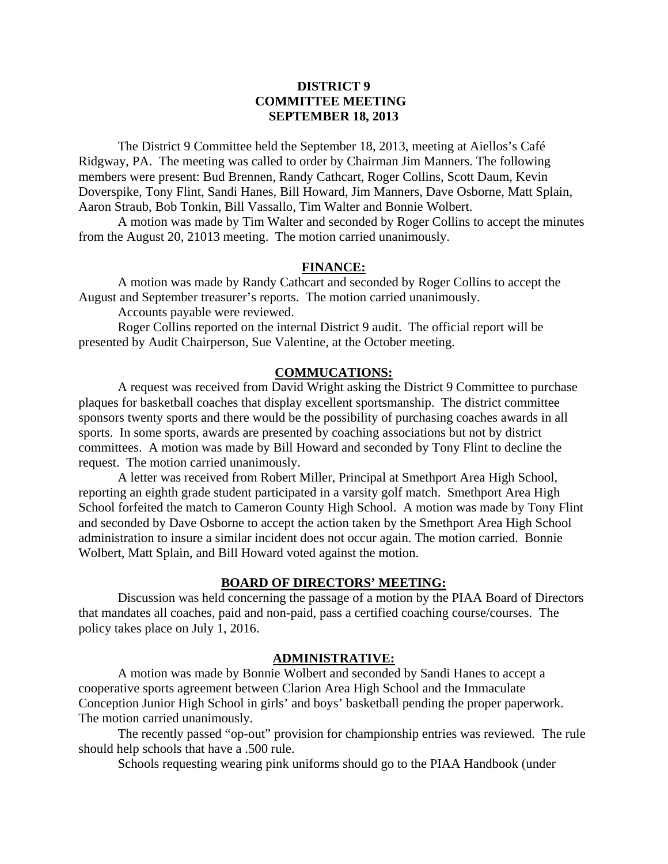# **DISTRICT 9 COMMITTEE MEETING SEPTEMBER 18, 2013**

 The District 9 Committee held the September 18, 2013, meeting at Aiellos's Café Ridgway, PA. The meeting was called to order by Chairman Jim Manners. The following members were present: Bud Brennen, Randy Cathcart, Roger Collins, Scott Daum, Kevin Doverspike, Tony Flint, Sandi Hanes, Bill Howard, Jim Manners, Dave Osborne, Matt Splain, Aaron Straub, Bob Tonkin, Bill Vassallo, Tim Walter and Bonnie Wolbert.

 A motion was made by Tim Walter and seconded by Roger Collins to accept the minutes from the August 20, 21013 meeting. The motion carried unanimously.

#### **FINANCE:**

A motion was made by Randy Cathcart and seconded by Roger Collins to accept the August and September treasurer's reports. The motion carried unanimously.

Accounts payable were reviewed.

 Roger Collins reported on the internal District 9 audit. The official report will be presented by Audit Chairperson, Sue Valentine, at the October meeting.

#### **COMMUCATIONS:**

A request was received from David Wright asking the District 9 Committee to purchase plaques for basketball coaches that display excellent sportsmanship. The district committee sponsors twenty sports and there would be the possibility of purchasing coaches awards in all sports. In some sports, awards are presented by coaching associations but not by district committees. A motion was made by Bill Howard and seconded by Tony Flint to decline the request. The motion carried unanimously.

A letter was received from Robert Miller, Principal at Smethport Area High School, reporting an eighth grade student participated in a varsity golf match. Smethport Area High School forfeited the match to Cameron County High School. A motion was made by Tony Flint and seconded by Dave Osborne to accept the action taken by the Smethport Area High School administration to insure a similar incident does not occur again. The motion carried. Bonnie Wolbert, Matt Splain, and Bill Howard voted against the motion.

#### **BOARD OF DIRECTORS' MEETING:**

 Discussion was held concerning the passage of a motion by the PIAA Board of Directors that mandates all coaches, paid and non-paid, pass a certified coaching course/courses. The policy takes place on July 1, 2016.

#### **ADMINISTRATIVE:**

 A motion was made by Bonnie Wolbert and seconded by Sandi Hanes to accept a cooperative sports agreement between Clarion Area High School and the Immaculate Conception Junior High School in girls' and boys' basketball pending the proper paperwork. The motion carried unanimously.

 The recently passed "op-out" provision for championship entries was reviewed. The rule should help schools that have a .500 rule.

Schools requesting wearing pink uniforms should go to the PIAA Handbook (under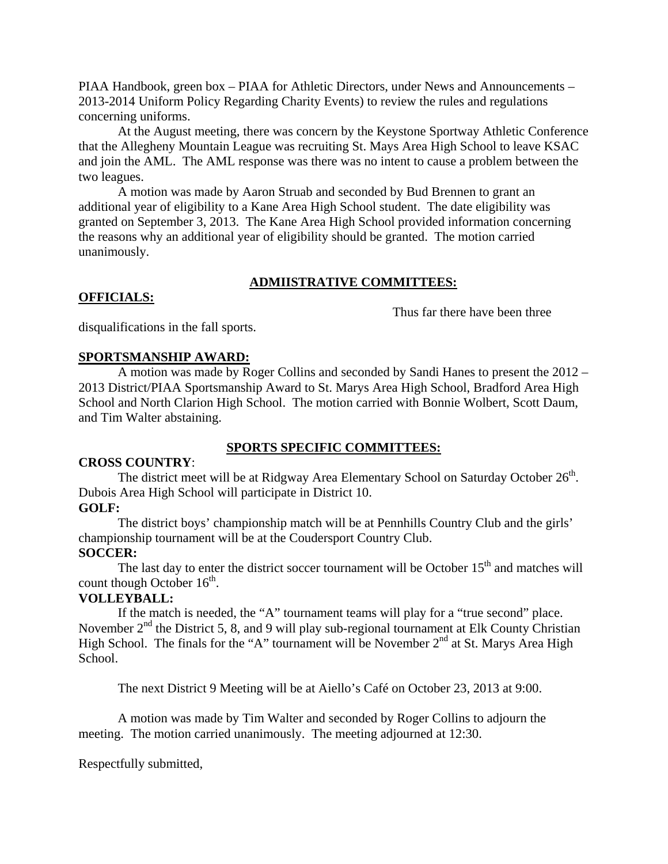PIAA Handbook, green box – PIAA for Athletic Directors, under News and Announcements – 2013-2014 Uniform Policy Regarding Charity Events) to review the rules and regulations concerning uniforms.

 At the August meeting, there was concern by the Keystone Sportway Athletic Conference that the Allegheny Mountain League was recruiting St. Mays Area High School to leave KSAC and join the AML. The AML response was there was no intent to cause a problem between the two leagues.

 A motion was made by Aaron Struab and seconded by Bud Brennen to grant an additional year of eligibility to a Kane Area High School student. The date eligibility was granted on September 3, 2013. The Kane Area High School provided information concerning the reasons why an additional year of eligibility should be granted. The motion carried unanimously.

# **ADMIISTRATIVE COMMITTEES:**

### Thus far there have been three

disqualifications in the fall sports.

### **SPORTSMANSHIP AWARD:**

 A motion was made by Roger Collins and seconded by Sandi Hanes to present the 2012 – 2013 District/PIAA Sportsmanship Award to St. Marys Area High School, Bradford Area High School and North Clarion High School. The motion carried with Bonnie Wolbert, Scott Daum, and Tim Walter abstaining.

## **SPORTS SPECIFIC COMMITTEES:**

## **CROSS COUNTRY**:

**OFFICIALS:**

The district meet will be at Ridgway Area Elementary School on Saturday October 26<sup>th</sup>. Dubois Area High School will participate in District 10.

## **GOLF:**

 The district boys' championship match will be at Pennhills Country Club and the girls' championship tournament will be at the Coudersport Country Club.

## **SOCCER:**

The last day to enter the district soccer tournament will be October  $15<sup>th</sup>$  and matches will count though October  $16<sup>th</sup>$ .

## **VOLLEYBALL:**

 If the match is needed, the "A" tournament teams will play for a "true second" place. November  $2<sup>nd</sup>$  the District 5, 8, and 9 will play sub-regional tournament at Elk County Christian High School. The finals for the "A" tournament will be November  $2<sup>nd</sup>$  at St. Marys Area High School.

The next District 9 Meeting will be at Aiello's Café on October 23, 2013 at 9:00.

A motion was made by Tim Walter and seconded by Roger Collins to adjourn the meeting. The motion carried unanimously. The meeting adjourned at 12:30.

Respectfully submitted,